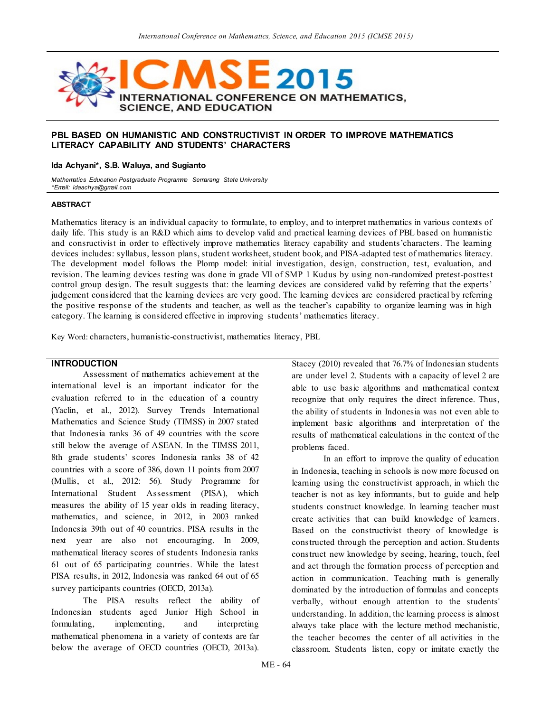

### **PBL BASED ON HUMANISTIC AND CONSTRUCTIVIST IN ORDER TO IMPROVE MATHEMATICS LITERACY CAPABILITY AND STUDENTS' CHARACTERS**

#### **Ida Achyani\*, S.B. Waluya, and Sugianto**

*Mathematics Education Postgraduate Programme Semarang State University \*Email: idaachya@gmail.com*

#### **ABSTRACT**

Mathematics literacy is an individual capacity to formulate, to employ, and to interpret mathematics in various contexts of daily life. This study is an R&D which aims to develop valid and practical learning devices of PBL based on humanistic and consructivist in order to effectively improve mathematics literacy capability and students'characters. The learning devices includes: syllabus, lesson plans, student worksheet, student book, and PISA-adapted test of mathematics literacy. The development model follows the Plomp model: initial investigation, design, construction, test, evaluation, and revision. The learning devices testing was done in grade VII of SMP 1 Kudus by using non-randomized pretest-posttest control group design. The result suggests that: the learning devices are considered valid by referring that the experts' judgement considered that the learning devices are very good. The learning devices are considered practical by referring the positive response of the students and teacher, as well as the teacher's capability to organize learning was in high category. The learning is considered effective in improving students' mathematics literacy.

Key Word: characters, humanistic-constructivist, mathematics literacy, PBL

#### **INTRODUCTION**

Assessment of mathematics achievement at the international level is an important indicator for the evaluation referred to in the education of a country (Yaclin, et al., 2012). Survey Trends International Mathematics and Science Study (TIMSS) in 2007 stated that Indonesia ranks 36 of 49 countries with the score still below the average of ASEAN. In the TIMSS 2011, 8th grade students' scores Indonesia ranks 38 of 42 countries with a score of 386, down 11 points from 2007 (Mullis, et al., 2012: 56). Study Programme for International Student Assessment (PISA), which measures the ability of 15 year olds in reading literacy, mathematics, and science, in 2012, in 2003 ranked Indonesia 39th out of 40 countries. PISA results in the next year are also not encouraging. In 2009, mathematical literacy scores of students Indonesia ranks 61 out of 65 participating countries. While the latest PISA results, in 2012, Indonesia was ranked 64 out of 65 survey participants countries (OECD, 2013a).

The PISA results reflect the ability of Indonesian students aged Junior High School in formulating, implementing, and interpreting mathematical phenomena in a variety of contexts are far below the average of OECD countries (OECD, 2013a).

Stacey (2010) revealed that 76.7% of Indonesian students are under level 2. Students with a capacity of level 2 are able to use basic algorithms and mathematical context recognize that only requires the direct inference. Thus, the ability of students in Indonesia was not even able to implement basic algorithms and interpretation of the results of mathematical calculations in the context of the problems faced.

In an effort to improve the quality of education in Indonesia, teaching in schools is now more focused on learning using the constructivist approach, in which the teacher is not as key informants, but to guide and help students construct knowledge. In learning teacher must create activities that can build knowledge of learners. Based on the constructivist theory of knowledge is constructed through the perception and action. Students construct new knowledge by seeing, hearing, touch, feel and act through the formation process of perception and action in communication. Teaching math is generally dominated by the introduction of formulas and concepts verbally, without enough attention to the students' understanding. In addition, the learning process is almost always take place with the lecture method mechanistic, the teacher becomes the center of all activities in the classroom. Students listen, copy or imitate exactly the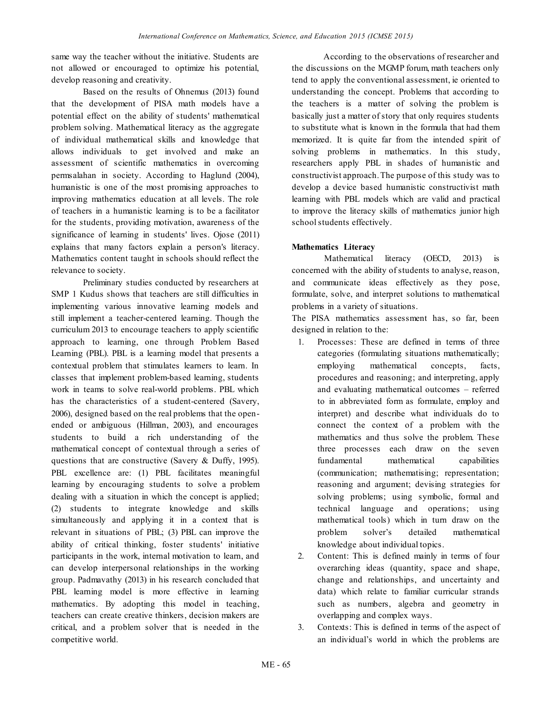same way the teacher without the initiative. Students are not allowed or encouraged to optimize his potential, develop reasoning and creativity.

Based on the results of Ohnemus (2013) found that the development of PISA math models have a potential effect on the ability of students' mathematical problem solving. Mathematical literacy as the aggregate of individual mathematical skills and knowledge that allows individuals to get involved and make an assessment of scientific mathematics in overcoming permsalahan in society. According to Haglund (2004), humanistic is one of the most promising approaches to improving mathematics education at all levels. The role of teachers in a humanistic learning is to be a facilitator for the students, providing motivation, awareness of the significance of learning in students' lives. Ojose (2011) explains that many factors explain a person's literacy. Mathematics content taught in schools should reflect the relevance to society.

Preliminary studies conducted by researchers at SMP 1 Kudus shows that teachers are still difficulties in implementing various innovative learning models and still implement a teacher-centered learning. Though the curriculum 2013 to encourage teachers to apply scientific approach to learning, one through Problem Based Learning (PBL). PBL is a learning model that presents a contextual problem that stimulates learners to learn. In classes that implement problem-based learning, students work in teams to solve real-world problems. PBL which has the characteristics of a student-centered (Savery, 2006), designed based on the real problems that the openended or ambiguous (Hillman, 2003), and encourages students to build a rich understanding of the mathematical concept of contextual through a series of questions that are constructive (Savery & Duffy, 1995). PBL excellence are: (1) PBL facilitates meaningful learning by encouraging students to solve a problem dealing with a situation in which the concept is applied; (2) students to integrate knowledge and skills simultaneously and applying it in a context that is relevant in situations of PBL; (3) PBL can improve the ability of critical thinking, foster students' initiative participants in the work, internal motivation to learn, and can develop interpersonal relationships in the working group. Padmavathy (2013) in his research concluded that PBL learning model is more effective in learning mathematics. By adopting this model in teaching, teachers can create creative thinkers, decision makers are critical, and a problem solver that is needed in the competitive world.

According to the observations of researcher and the discussions on the MGMP forum, math teachers only tend to apply the conventional assessment, ie oriented to understanding the concept. Problems that according to the teachers is a matter of solving the problem is basically just a matter of story that only requires students to substitute what is known in the formula that had them memorized. It is quite far from the intended spirit of solving problems in mathematics. In this study, researchers apply PBL in shades of humanistic and constructivist approach. The purpose of this study was to develop a device based humanistic constructivist math learning with PBL models which are valid and practical to improve the literacy skills of mathematics junior high school students effectively.

# **Mathematics Literacy**

Mathematical literacy (OECD, 2013) is concerned with the ability of students to analyse, reason, and communicate ideas effectively as they pose, formulate, solve, and interpret solutions to mathematical problems in a variety of situations.

The PISA mathematics assessment has, so far, been designed in relation to the:

- 1. Processes: These are defined in terms of three categories (formulating situations mathematically; employing mathematical concepts, facts, procedures and reasoning; and interpreting, apply and evaluating mathematical outcomes – referred to in abbreviated form as formulate, employ and interpret) and describe what individuals do to connect the context of a problem with the mathematics and thus solve the problem. These three processes each draw on the seven fundamental mathematical capabilities (communication; mathematising; representation; reasoning and argument; devising strategies for solving problems; using symbolic, formal and technical language and operations; using mathematical tools) which in turn draw on the problem solver's detailed mathematical knowledge about individual topics.
- 2. Content: This is defined mainly in terms of four overarching ideas (quantity, space and shape, change and relationships, and uncertainty and data) which relate to familiar curricular strands such as numbers, algebra and geometry in overlapping and complex ways.
- 3. Contexts: This is defined in terms of the aspect of an individual's world in which the problems are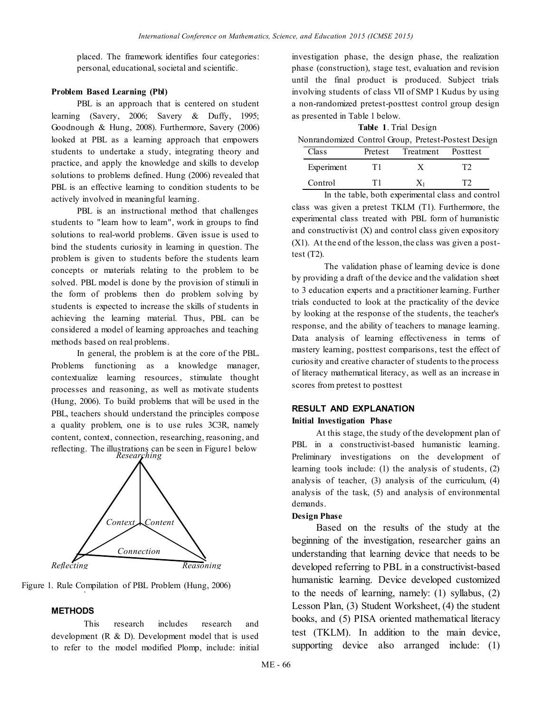placed. The framework identifies four categories: personal, educational, societal and scientific.

### **Problem Based Learning (Pbl)**

PBL is an approach that is centered on student learning (Savery, 2006; Savery & Duffy, 1995; Goodnough & Hung, 2008). Furthermore, Savery (2006) looked at PBL as a learning approach that empowers students to undertake a study, integrating theory and practice, and apply the knowledge and skills to develop solutions to problems defined. Hung (2006) revealed that PBL is an effective learning to condition students to be actively involved in meaningful learning.

PBL is an instructional method that challenges students to "learn how to learn", work in groups to find solutions to real-world problems. Given issue is used to bind the students curiosity in learning in question. The problem is given to students before the students learn concepts or materials relating to the problem to be solved. PBL model is done by the provision of stimuli in the form of problems then do problem solving by students is expected to increase the skills of students in achieving the learning material. Thus, PBL can be considered a model of learning approaches and teaching methods based on real problems.

In general, the problem is at the core of the PBL. Problems functioning as a knowledge manager, contextualize learning resources, stimulate thought processes and reasoning, as well as motivate students (Hung, 2006). To build problems that will be used in the PBL, teachers should understand the principles compose a quality problem, one is to use rules 3C3R, namely content, context, connection, researching, reasoning, and reflecting. The illustrations can be seen in Figure1 below *Researching*



. Figure 1. Rule Compilation of PBL Problem (Hung, 2006)

# **METHODS**

This research includes research and development (R & D). Development model that is used to refer to the model modified Plomp, include: initial investigation phase, the design phase, the realization phase (construction), stage test, evaluation and revision until the final product is produced. Subject trials involving students of class VII of SMP 1 Kudus by using a non-randomized pretest-posttest control group design as presented in Table 1 below.

|  | <b>Table 1.</b> Trial Design                       |
|--|----------------------------------------------------|
|  | Nonrandomized Control Group Pretest-Postest Design |

| ivoinanuomizeu Control Cloup, Fietest-Fostest Design |            |    |                            |    |  |  |  |
|------------------------------------------------------|------------|----|----------------------------|----|--|--|--|
|                                                      | Class      |    | Pretest Treatment Posttest |    |  |  |  |
|                                                      | Experiment | T1 | X                          | T2 |  |  |  |
|                                                      | Control    | T1 | $X_1$                      | TЭ |  |  |  |

In the table, both experimental class and control class was given a pretest TKLM (T1). Furthermore, the experimental class treated with PBL form of humanistic and constructivist (X) and control class given expository (X1). At the end of the lesson, the class was given a posttest (T2).

The validation phase of learning device is done by providing a draft of the device and the validation sheet to 3 education experts and a practitioner learning. Further trials conducted to look at the practicality of the device by looking at the response of the students, the teacher's response, and the ability of teachers to manage learning. Data analysis of learning effectiveness in terms of mastery learning, posttest comparisons, test the effect of curiosity and creative character of students to the process of literacy mathematical literacy, as well as an increase in scores from pretest to posttest

# **RESULT AND EXPLANATION**

# **Initial Investigation Phase**

At this stage, the study of the development plan of PBL in a constructivist-based humanistic learning. Preliminary investigations on the development of learning tools include: (1) the analysis of students, (2) analysis of teacher, (3) analysis of the curriculum, (4) analysis of the task, (5) and analysis of environmental demands.

# **Design Phase**

Based on the results of the study at the beginning of the investigation, researcher gains an understanding that learning device that needs to be developed referring to PBL in a constructivist-based humanistic learning. Device developed customized to the needs of learning, namely: (1) syllabus, (2) Lesson Plan, (3) Student Worksheet, (4) the student books, and (5) PISA oriented mathematical literacy test (TKLM). In addition to the main device, supporting device also arranged include: (1)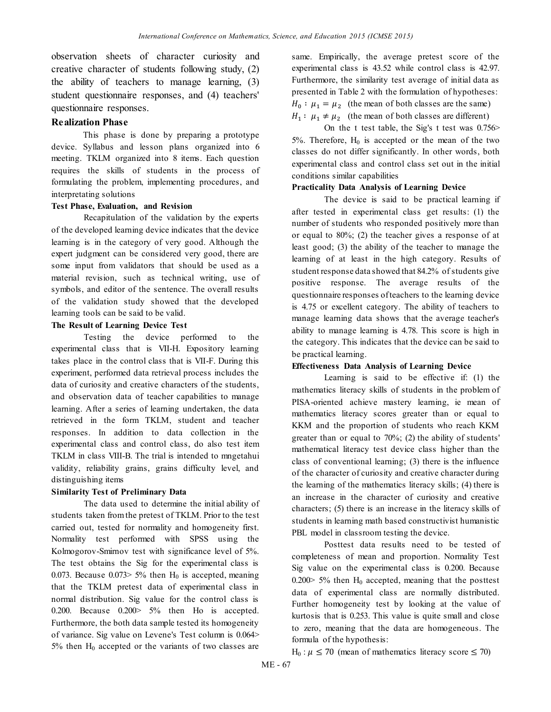observation sheets of character curiosity and creative character of students following study, (2) the ability of teachers to manage learning, (3) student questionnaire responses, and (4) teachers' questionnaire responses.

# **Realization Phase**

This phase is done by preparing a prototype device. Syllabus and lesson plans organized into 6 meeting. TKLM organized into 8 items. Each question requires the skills of students in the process of formulating the problem, implementing procedures, and interpretating solutions

#### **Test Phase, Evaluation, and Revision**

Recapitulation of the validation by the experts of the developed learning device indicates that the device learning is in the category of very good. Although the expert judgment can be considered very good, there are some input from validators that should be used as a material revision, such as technical writing, use of symbols, and editor of the sentence. The overall results of the validation study showed that the developed learning tools can be said to be valid.

### **The Result of Learning Device Test**

Testing the device performed to the experimental class that is VII-H. Expository learning takes place in the control class that is VII-F. During this experiment, performed data retrieval process includes the data of curiosity and creative characters of the students, and observation data of teacher capabilities to manage learning. After a series of learning undertaken, the data retrieved in the form TKLM, student and teacher responses. In addition to data collection in the experimental class and control class, do also test item TKLM in class VIII-B. The trial is intended to mngetahui validity, reliability grains, grains difficulty level, and distinguishing items

# **Similarity Test of Preliminary Data**

The data used to determine the initial ability of students taken from the pretest of TKLM. Prior to the test carried out, tested for normality and homogeneity first. Normality test performed with SPSS using the Kolmogorov-Smirnov test with significance level of 5%. The test obtains the Sig for the experimental class is 0.073. Because 0.073> 5% then  $H_0$  is accepted, meaning that the TKLM pretest data of experimental class in normal distribution. Sig value for the control class is 0.200. Because 0.200> 5% then Ho is accepted. Furthermore, the both data sample tested its homogeneity of variance. Sig value on Levene's Test column is 0.064>  $5%$  then  $H_0$  accepted or the variants of two classes are

same. Empirically, the average pretest score of the experimental class is 43.52 while control class is 42.97. Furthermore, the similarity test average of initial data as presented in Table 2 with the formulation of hypotheses:  $H_0: \mu_1 = \mu_2$  (the mean of both classes are the same)  $H_1: \mu_1 \neq \mu_2$  (the mean of both classes are different)

On the t test table, the Sig's t test was  $0.756$  $5\%$ . Therefore,  $H_0$  is accepted or the mean of the two classes do not differ significantly. In other words, both experimental class and control class set out in the initial conditions similar capabilities

### **Practicality Data Analysis of Learning Device**

The device is said to be practical learning if after tested in experimental class get results: (1) the number of students who responded positively more than or equal to 80%; (2) the teacher gives a response of at least good; (3) the ability of the teacher to manage the learning of at least in the high category. Results of student response data showed that 84.2% of students give positive response. The average results of the questionnaire responses of teachers to the learning device is 4.75 or excellent category. The ability of teachers to manage learning data shows that the average teacher's ability to manage learning is 4.78. This score is high in the category. This indicates that the device can be said to be practical learning.

#### **Effectiveness Data Analysis of Learning Device**

Learning is said to be effective if: (1) the mathematics literacy skills of students in the problem of PISA-oriented achieve mastery learning, ie mean of mathematics literacy scores greater than or equal to KKM and the proportion of students who reach KKM greater than or equal to 70%; (2) the ability of students' mathematical literacy test device class higher than the class of conventional learning; (3) there is the influence of the character of curiosity and creative character during the learning of the mathematics literacy skills; (4) there is an increase in the character of curiosity and creative characters; (5) there is an increase in the literacy skills of students in learning math based constructivist humanistic PBL model in classroom testing the device.

Posttest data results need to be tested of completeness of mean and proportion. Normality Test Sig value on the experimental class is 0.200. Because  $0.200 > 5\%$  then H<sub>0</sub> accepted, meaning that the posttest data of experimental class are normally distributed. Further homogeneity test by looking at the value of kurtosis that is 0.253. This value is quite small and close to zero, meaning that the data are homogeneous. The formula of the hypothesis:

 $H_0$ :  $\mu \le 70$  (mean of mathematics literacy score  $\le 70$ )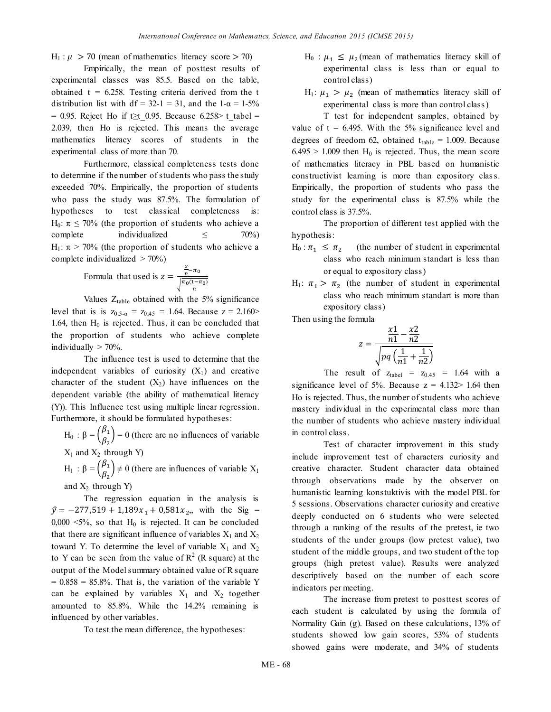$H_1$ :  $\mu > 70$  (mean of mathematics literacy score  $> 70$ )

Empirically, the mean of posttest results of experimental classes was 85.5. Based on the table, obtained  $t = 6.258$ . Testing criteria derived from the t distribution list with df = 32-1 = 31, and the 1- $\alpha$  = 1-5% = 0.95. Reject Ho if t≥t 0.95. Because 6.258> t\_tabel = 2.039, then Ho is rejected. This means the average mathematics literacy scores of students in the experimental class of more than 70.

Furthermore, classical completeness tests done to determine if the number of students who pass the study exceeded 70%. Empirically, the proportion of students who pass the study was 87.5%. The formulation of hypotheses to test classical completeness is: H<sub>0</sub>:  $\pi \le 70\%$  (the proportion of students who achieve a complete individualized  $\leq$  70%) H<sub>1</sub>:  $\pi$  > 70% (the proportion of students who achieve a complete individualized  $> 70\%$ )

Formula that used is 
$$
z = \frac{\frac{x}{n} - \pi_0}{\sqrt{\frac{\pi_0(1 - \pi_0)}{n}}}
$$

Values  $Z_{table}$  obtained with the 5% significance level that is is  $z_{0.5-a} = z_{0.45} = 1.64$ . Because  $z = 2.160$ 1.64, then  $H_0$  is rejected. Thus, it can be concluded that the proportion of students who achieve complete individually  $> 70\%$ .

The influence test is used to determine that the independent variables of curiosity  $(X_1)$  and creative character of the student  $(X_2)$  have influences on the dependent variable (the ability of mathematical literacy (Y)). This Influence test using multiple linear regression. Furthermore, it should be formulated hypotheses:

 $H_0$  :  $\beta = \begin{pmatrix} \beta \\ \rho \end{pmatrix}$  $\begin{pmatrix} \rho_1 \\ \rho_2 \end{pmatrix} = 0$  (there are no influences of variable  $X_1$  and  $X_2$  through Y)

 $H_1$  :  $\beta = \begin{pmatrix} \beta \\ \rho \end{pmatrix}$  $\begin{pmatrix} \mathcal{P}_1 \\ \mathcal{B}_2 \end{pmatrix} \neq 0$  (there are influences of variable  $X_1$ and  $X_2$  through Y)

The regression equation in the analysis is  $\hat{y} = -277,519 + 1,189x_1 + 0,581x_2$ , with the Sig = 0,000  $\leq$ 5%, so that H<sub>0</sub> is rejected. It can be concluded that there are significant influence of variables  $X_1$  and  $X_2$ toward Y. To determine the level of variable  $X_1$  and  $X_2$ to Y can be seen from the value of  $R^2$  (R square) at the output of the Model summary obtained value of R square  $= 0.858 = 85.8\%$ . That is, the variation of the variable Y can be explained by variables  $X_1$  and  $X_2$  together amounted to 85.8%. While the 14.2% remaining is influenced by other variables.

To test the mean difference, the hypotheses:

- $H_0$ :  $\mu_1 \leq \mu_2$  (mean of mathematics literacy skill of experimental class is less than or equal to control class)
- $H_1$ :  $\mu_1 > \mu_2$  (mean of mathematics literacy skill of experimental class is more than control class)

T test for independent samples, obtained by value of  $t = 6.495$ . With the 5% significance level and degrees of freedom 62, obtained  $t_{table} = 1.009$ . Because  $6.495 > 1.009$  then H<sub>0</sub> is rejected. Thus, the mean score of mathematics literacy in PBL based on humanistic constructivist learning is more than expository class. Empirically, the proportion of students who pass the study for the experimental class is 87.5% while the control class is 37.5%.

The proportion of different test applied with the hypothesis:

- $H_0$ :  $\pi_1 \leq \pi_2$ (the number of student in experimental class who reach minimum standart is less than or equal to expository class)
- $H_1$ :  $\pi_1 > \pi_2$  (the number of student in experimental class who reach minimum standart is more than expository class)

Then using the formula

$$
z = \frac{\frac{x1}{n1} - \frac{x2}{n2}}{\sqrt{pq\left(\frac{1}{n1} + \frac{1}{n2}\right)}}
$$

The result of  $z_{\text{table}} = z_{0.45} = 1.64$  with a significance level of 5%. Because  $z = 4.132 > 1.64$  then Ho is rejected. Thus, the number of students who achieve mastery individual in the experimental class more than the number of students who achieve mastery individual in control class.

Test of character improvement in this study include improvement test of characters curiosity and creative character. Student character data obtained through observations made by the observer on humanistic learning konstuktivis with the model PBL for 5 sessions. Observations character curiosity and creative deeply conducted on 6 students who were selected through a ranking of the results of the pretest, ie two students of the under groups (low pretest value), two student of the middle groups, and two student of the top groups (high pretest value). Results were analyzed descriptively based on the number of each score indicators per meeting.

The increase from pretest to posttest scores of each student is calculated by using the formula of Normality Gain (g). Based on these calculations, 13% of students showed low gain scores, 53% of students showed gains were moderate, and 34% of students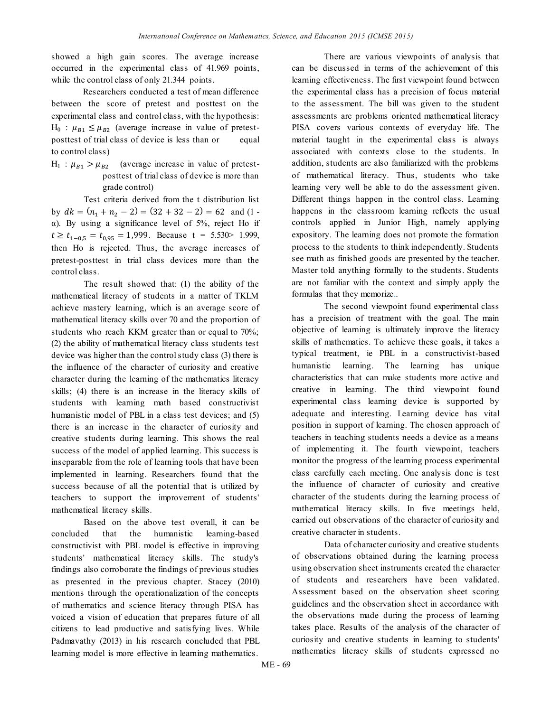showed a high gain scores. The average increase occurred in the experimental class of 41.969 points, while the control class of only 21.344 points.

Researchers conducted a test of mean difference between the score of pretest and posttest on the experimental class and control class, with the hypothesis:  $H_0$ :  $\mu_{B1} \leq \mu_{B2}$  (average increase in value of pretestposttest of trial class of device is less than or equal to control class)

 $H_1$ :  $\mu_{B1} > \mu_{B2}$  (average increase in value of pretestposttest of trial class of device is more than grade control)

Test criteria derived from the t distribution list by  $dk = (n_1 + n_2 - 2) = (32 + 32 - 2) = 62$  and (1 α). By using a significance level of 5%, reject Ho if  $t \ge t_{1-0.5} = t_{0.95} = 1,999$ . Because t = 5.530 \(1.999), then Ho is rejected. Thus, the average increases of pretest-posttest in trial class devices more than the control class.

The result showed that: (1) the ability of the mathematical literacy of students in a matter of TKLM achieve mastery learning, which is an average score of mathematical literacy skills over 70 and the proportion of students who reach KKM greater than or equal to 70%; (2) the ability of mathematical literacy class students test device was higher than the control study class (3) there is the influence of the character of curiosity and creative character during the learning of the mathematics literacy skills; (4) there is an increase in the literacy skills of students with learning math based constructivist humanistic model of PBL in a class test devices; and (5) there is an increase in the character of curiosity and creative students during learning. This shows the real success of the model of applied learning. This success is inseparable from the role of learning tools that have been implemented in learning. Researchers found that the success because of all the potential that is utilized by teachers to support the improvement of students' mathematical literacy skills.

Based on the above test overall, it can be concluded that the humanistic learning-based constructivist with PBL model is effective in improving students' mathematical literacy skills. The study's findings also corroborate the findings of previous studies as presented in the previous chapter. Stacey (2010) mentions through the operationalization of the concepts of mathematics and science literacy through PISA has voiced a vision of education that prepares future of all citizens to lead productive and satisfying lives. While Padmavathy (2013) in his research concluded that PBL learning model is more effective in learning mathematics.

There are various viewpoints of analysis that can be discussed in terms of the achievement of this learning effectiveness. The first viewpoint found between the experimental class has a precision of focus material to the assessment. The bill was given to the student assessments are problems oriented mathematical literacy PISA covers various contexts of everyday life. The material taught in the experimental class is always associated with contexts close to the students. In addition, students are also familiarized with the problems of mathematical literacy. Thus, students who take learning very well be able to do the assessment given. Different things happen in the control class. Learning happens in the classroom learning reflects the usual controls applied in Junior High, namely applying expository. The learning does not promote the formation process to the students to think independently. Students see math as finished goods are presented by the teacher. Master told anything formally to the students. Students are not familiar with the context and simply apply the formulas that they memorize..

The second viewpoint found experimental class has a precision of treatment with the goal. The main objective of learning is ultimately improve the literacy skills of mathematics. To achieve these goals, it takes a typical treatment, ie PBL in a constructivist-based humanistic learning. The learning has unique characteristics that can make students more active and creative in learning. The third viewpoint found experimental class learning device is supported by adequate and interesting. Learning device has vital position in support of learning. The chosen approach of teachers in teaching students needs a device as a means of implementing it. The fourth viewpoint, teachers monitor the progress of the learning process experimental class carefully each meeting. One analysis done is test the influence of character of curiosity and creative character of the students during the learning process of mathematical literacy skills. In five meetings held, carried out observations of the character of curiosity and creative character in students.

Data of character curiosity and creative students of observations obtained during the learning process using observation sheet instruments created the character of students and researchers have been validated. Assessment based on the observation sheet scoring guidelines and the observation sheet in accordance with the observations made during the process of learning takes place. Results of the analysis of the character of curiosity and creative students in learning to students' mathematics literacy skills of students expressed no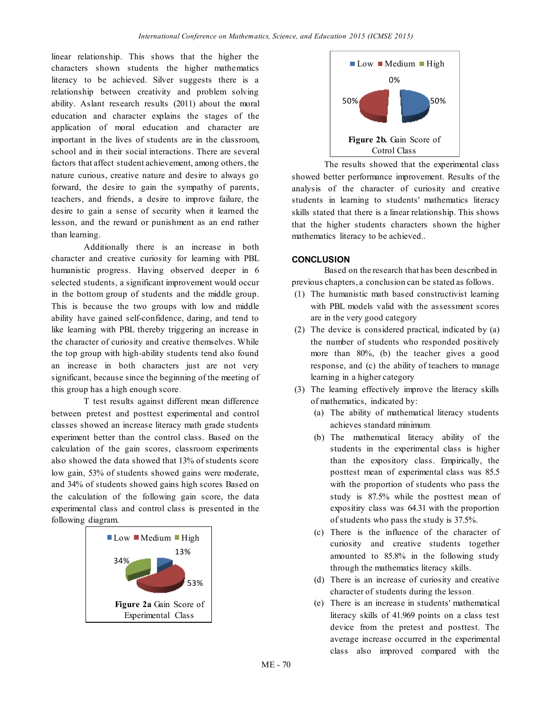linear relationship. This shows that the higher the characters shown students the higher mathematics literacy to be achieved. Silver suggests there is a relationship between creativity and problem solving ability. Aslant research results (2011) about the moral education and character explains the stages of the application of moral education and character are important in the lives of students are in the classroom, school and in their social interactions. There are several factors that affect student achievement, among others, the nature curious, creative nature and desire to always go forward, the desire to gain the sympathy of parents, teachers, and friends, a desire to improve failure, the desire to gain a sense of security when it learned the lesson, and the reward or punishment as an end rather than learning.

Additionally there is an increase in both character and creative curiosity for learning with PBL humanistic progress. Having observed deeper in 6 selected students, a significant improvement would occur in the bottom group of students and the middle group. This is because the two groups with low and middle ability have gained self-confidence, daring, and tend to like learning with PBL thereby triggering an increase in the character of curiosity and creative themselves. While the top group with high-ability students tend also found an increase in both characters just are not very significant, because since the beginning of the meeting of this group has a high enough score.

T test results against different mean difference between pretest and posttest experimental and control classes showed an increase literacy math grade students experiment better than the control class. Based on the calculation of the gain scores, classroom experiments also showed the data showed that 13% of students score low gain, 53% of students showed gains were moderate, and 34% of students showed gains high scores Based on the calculation of the following gain score, the data experimental class and control class is presented in the following diagram.





The results showed that the experimental class showed better performance improvement. Results of the analysis of the character of curiosity and creative students in learning to students' mathematics literacy skills stated that there is a linear relationship. This shows that the higher students characters shown the higher mathematics literacy to be achieved..

### **CONCLUSION**

Based on the research that has been described in previous chapters, a conclusion can be stated as follows.

- (1) The humanistic math based constructivist learning with PBL models valid with the assessment scores are in the very good category
- (2) The device is considered practical, indicated by (a) the number of students who responded positively more than 80%, (b) the teacher gives a good response, and (c) the ability of teachers to manage learning in a higher category
- (3) The learning effectively improve the literacy skills of mathematics, indicated by:
	- (a) The ability of mathematical literacy students achieves standard minimum.
	- (b) The mathematical literacy ability of the students in the experimental class is higher than the expository class. Empirically, the posttest mean of experimental class was 85.5 with the proportion of students who pass the study is 87.5% while the posttest mean of expositiry class was 64.31 with the proportion of students who pass the study is 37.5%.
	- (c) There is the influence of the character of curiosity and creative students together amounted to 85.8% in the following study through the mathematics literacy skills.
	- (d) There is an increase of curiosity and creative character of students during the lesson.
	- (e) There is an increase in students' mathematical literacy skills of 41.969 points on a class test device from the pretest and posttest. The average increase occurred in the experimental class also improved compared with the